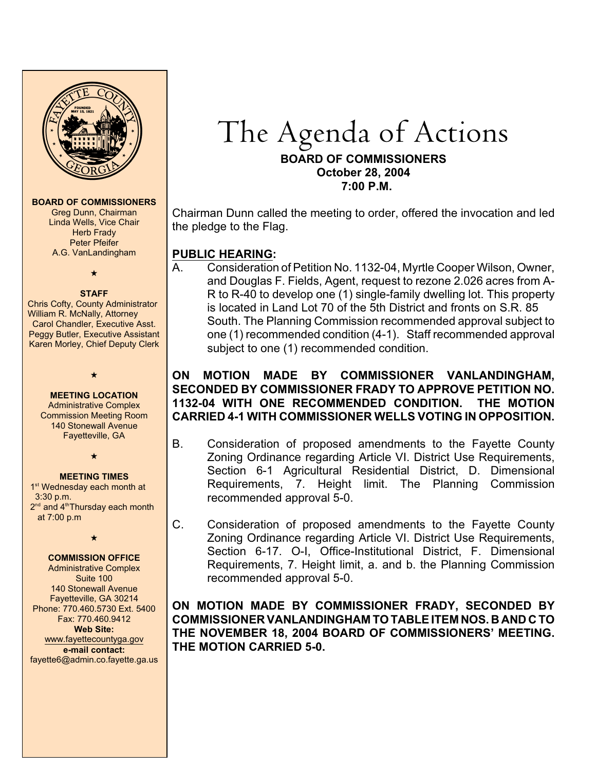

#### **BOARD OF COMMISSIONERS**

Greg Dunn, Chairman Linda Wells, Vice Chair Herb Frady Peter Pfeifer A.G. VanLandingham

 $\star$ 

### **STAFF**

Chris Cofty, County Administrator William R. McNally, Attorney Carol Chandler, Executive Asst. Peggy Butler, Executive Assistant Karen Morley, Chief Deputy Clerk

 $\star$ 

**MEETING LOCATION** Administrative Complex Commission Meeting Room 140 Stonewall Avenue Fayetteville, GA

 $\star$ 

#### **MEETING TIMES**

1<sup>st</sup> Wednesday each month at 3:30 p.m.  $2<sup>nd</sup>$  and  $4<sup>th</sup>$ Thursday each month at 7:00 p.m

 $\star$ 

## **COMMISSION OFFICE**

Administrative Complex Suite 100 140 Stonewall Avenue Fayetteville, GA 30214 Phone: 770.460.5730 Ext. 5400 Fax: 770.460.9412 **Web Site:** [www.fayettecountyga.gov](http://www.admin.co.fayette.ga.us) **e-mail contact:** fayette6@admin.co.fayette.ga.us

# The Agenda of Actions

## **BOARD OF COMMISSIONERS October 28, 2004 7:00 P.M.**

Chairman Dunn called the meeting to order, offered the invocation and led the pledge to the Flag.

# **PUBLIC HEARING:**

A. Consideration of Petition No. 1132-04, Myrtle Cooper Wilson, Owner, and Douglas F. Fields, Agent, request to rezone 2.026 acres from A-R to R-40 to develop one (1) single-family dwelling lot. This property is located in Land Lot 70 of the 5th District and fronts on S.R. 85 South. The Planning Commission recommended approval subject to one (1) recommended condition (4-1). Staff recommended approval subject to one (1) recommended condition.

# **ON MOTION MADE BY COMMISSIONER VANLANDINGHAM, SECONDED BY COMMISSIONER FRADY TO APPROVE PETITION NO. 1132-04 WITH ONE RECOMMENDED CONDITION. THE MOTION CARRIED 4-1 WITH COMMISSIONER WELLS VOTING IN OPPOSITION.**

- B. Consideration of proposed amendments to the Fayette County Zoning Ordinance regarding Article VI. District Use Requirements, Section 6-1 Agricultural Residential District, D. Dimensional Requirements, 7. Height limit. The Planning Commission recommended approval 5-0.
- C. Consideration of proposed amendments to the Fayette County Zoning Ordinance regarding Article VI. District Use Requirements, Section 6-17. O-I, Office-Institutional District, F. Dimensional Requirements, 7. Height limit, a. and b. the Planning Commission recommended approval 5-0.

**ON MOTION MADE BY COMMISSIONER FRADY, SECONDED BY COMMISSIONER VANLANDINGHAM TO TABLE ITEM NOS. B AND C TO THE NOVEMBER 18, 2004 BOARD OF COMMISSIONERS' MEETING. THE MOTION CARRIED 5-0.**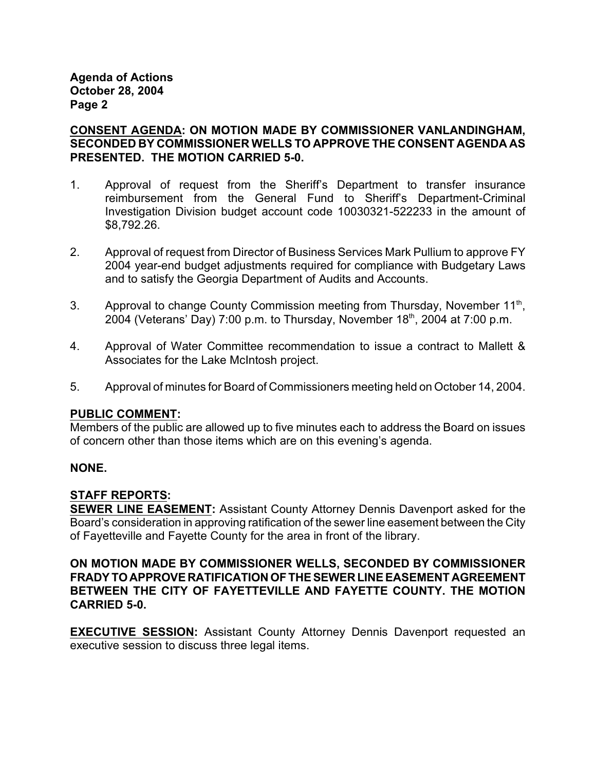**Agenda of Actions October 28, 2004 Page 2**

**CONSENT AGENDA: ON MOTION MADE BY COMMISSIONER VANLANDINGHAM, SECONDED BY COMMISSIONER WELLS TO APPROVE THE CONSENT AGENDA AS PRESENTED. THE MOTION CARRIED 5-0.**

- 1. Approval of request from the Sheriff's Department to transfer insurance reimbursement from the General Fund to Sheriff's Department-Criminal Investigation Division budget account code 10030321-522233 in the amount of \$8,792.26.
- 2. Approval of request from Director of Business Services Mark Pullium to approve FY 2004 year-end budget adjustments required for compliance with Budgetary Laws and to satisfy the Georgia Department of Audits and Accounts.
- 3. Approval to change County Commission meeting from Thursday, November 11<sup>th</sup>, 2004 (Veterans' Day) 7:00 p.m. to Thursday, November  $18<sup>th</sup>$ , 2004 at 7:00 p.m.
- 4. Approval of Water Committee recommendation to issue a contract to Mallett & Associates for the Lake McIntosh project.
- 5. Approval of minutes for Board of Commissioners meeting held on October 14, 2004.

# **PUBLIC COMMENT:**

Members of the public are allowed up to five minutes each to address the Board on issues of concern other than those items which are on this evening's agenda.

# **NONE.**

# **STAFF REPORTS:**

**SEWER LINE EASEMENT:** Assistant County Attorney Dennis Davenport asked for the Board's consideration in approving ratification of the sewer line easement between the City of Fayetteville and Fayette County for the area in front of the library.

**ON MOTION MADE BY COMMISSIONER WELLS, SECONDED BY COMMISSIONER FRADY TO APPROVE RATIFICATION OF THE SEWER LINE EASEMENT AGREEMENT BETWEEN THE CITY OF FAYETTEVILLE AND FAYETTE COUNTY. THE MOTION CARRIED 5-0.**

**EXECUTIVE SESSION:** Assistant County Attorney Dennis Davenport requested an executive session to discuss three legal items.